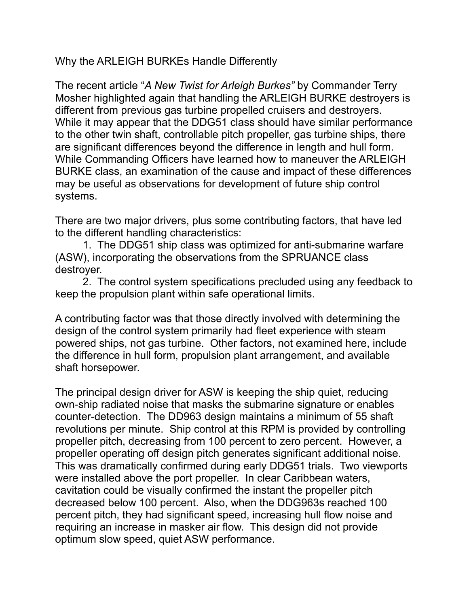Why the ARLEIGH BURKEs Handle Differently

The recent article "*A New Twist for Arleigh Burkes"* by Commander Terry Mosher highlighted again that handling the ARLEIGH BURKE destroyers is different from previous gas turbine propelled cruisers and destroyers. While it may appear that the DDG51 class should have similar performance to the other twin shaft, controllable pitch propeller, gas turbine ships, there are significant differences beyond the difference in length and hull form. While Commanding Officers have learned how to maneuver the ARLEIGH BURKE class, an examination of the cause and impact of these differences may be useful as observations for development of future ship control systems.

There are two major drivers, plus some contributing factors, that have led to the different handling characteristics:

1. The DDG51 ship class was optimized for anti-submarine warfare (ASW), incorporating the observations from the SPRUANCE class destroyer.

2. The control system specifications precluded using any feedback to keep the propulsion plant within safe operational limits.

A contributing factor was that those directly involved with determining the design of the control system primarily had fleet experience with steam powered ships, not gas turbine. Other factors, not examined here, include the difference in hull form, propulsion plant arrangement, and available shaft horsepower.

The principal design driver for ASW is keeping the ship quiet, reducing own-ship radiated noise that masks the submarine signature or enables counter-detection. The DD963 design maintains a minimum of 55 shaft revolutions per minute. Ship control at this RPM is provided by controlling propeller pitch, decreasing from 100 percent to zero percent. However, a propeller operating off design pitch generates significant additional noise. This was dramatically confirmed during early DDG51 trials. Two viewports were installed above the port propeller. In clear Caribbean waters, cavitation could be visually confirmed the instant the propeller pitch decreased below 100 percent. Also, when the DDG963s reached 100 percent pitch, they had significant speed, increasing hull flow noise and requiring an increase in masker air flow. This design did not provide optimum slow speed, quiet ASW performance.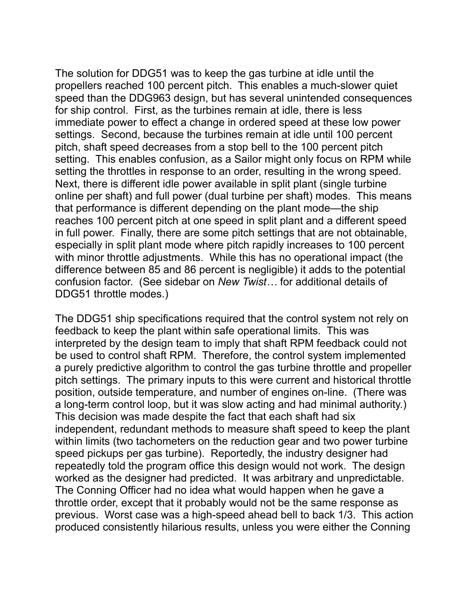The solution for DDG51 was to keep the gas turbine at idle until the propellers reached 100 percent pitch. This enables a much-slower quiet speed than the DDG963 design, but has several unintended consequences for ship control. First, as the turbines remain at idle, there is less immediate power to effect a change in ordered speed at these low power settings. Second, because the turbines remain at idle until 100 percent pitch, shaft speed decreases from a stop bell to the 100 percent pitch setting. This enables confusion, as a Sailor might only focus on RPM while setting the throttles in response to an order, resulting in the wrong speed. Next, there is different idle power available in split plant (single turbine online per shaft) and full power (dual turbine per shaft) modes. This means that performance is different depending on the plant mode—the ship reaches 100 percent pitch at one speed in split plant and a different speed in full power. Finally, there are some pitch settings that are not obtainable, especially in split plant mode where pitch rapidly increases to 100 percent with minor throttle adjustments. While this has no operational impact (the difference between 85 and 86 percent is negligible) it adds to the potential confusion factor. (See sidebar on *New Twist…* for additional details of DDG51 throttle modes.)

The DDG51 ship specifications required that the control system not rely on feedback to keep the plant within safe operational limits. This was interpreted by the design team to imply that shaft RPM feedback could not be used to control shaft RPM. Therefore, the control system implemented a purely predictive algorithm to control the gas turbine throttle and propeller pitch settings. The primary inputs to this were current and historical throttle position, outside temperature, and number of engines on-line. (There was a long-term control loop, but it was slow acting and had minimal authority.) This decision was made despite the fact that each shaft had six independent, redundant methods to measure shaft speed to keep the plant within limits (two tachometers on the reduction gear and two power turbine speed pickups per gas turbine). Reportedly, the industry designer had repeatedly told the program office this design would not work. The design worked as the designer had predicted. It was arbitrary and unpredictable. The Conning Officer had no idea what would happen when he gave a throttle order, except that it probably would not be the same response as previous. Worst case was a high-speed ahead bell to back 1/3. This action produced consistently hilarious results, unless you were either the Conning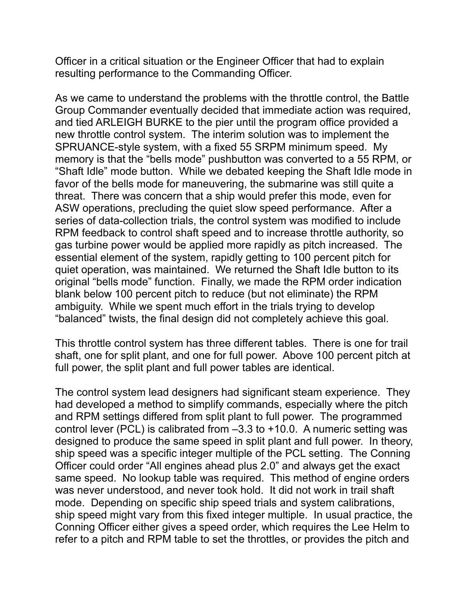Officer in a critical situation or the Engineer Officer that had to explain resulting performance to the Commanding Officer.

As we came to understand the problems with the throttle control, the Battle Group Commander eventually decided that immediate action was required, and tied ARLEIGH BURKE to the pier until the program office provided a new throttle control system. The interim solution was to implement the SPRUANCE-style system, with a fixed 55 SRPM minimum speed. My memory is that the "bells mode" pushbutton was converted to a 55 RPM, or "Shaft Idle" mode button. While we debated keeping the Shaft Idle mode in favor of the bells mode for maneuvering, the submarine was still quite a threat. There was concern that a ship would prefer this mode, even for ASW operations, precluding the quiet slow speed performance. After a series of data-collection trials, the control system was modified to include RPM feedback to control shaft speed and to increase throttle authority, so gas turbine power would be applied more rapidly as pitch increased. The essential element of the system, rapidly getting to 100 percent pitch for quiet operation, was maintained. We returned the Shaft Idle button to its original "bells mode" function. Finally, we made the RPM order indication blank below 100 percent pitch to reduce (but not eliminate) the RPM ambiguity. While we spent much effort in the trials trying to develop "balanced" twists, the final design did not completely achieve this goal.

This throttle control system has three different tables. There is one for trail shaft, one for split plant, and one for full power. Above 100 percent pitch at full power, the split plant and full power tables are identical.

The control system lead designers had significant steam experience. They had developed a method to simplify commands, especially where the pitch and RPM settings differed from split plant to full power. The programmed control lever (PCL) is calibrated from –3.3 to +10.0. A numeric setting was designed to produce the same speed in split plant and full power. In theory, ship speed was a specific integer multiple of the PCL setting. The Conning Officer could order "All engines ahead plus 2.0" and always get the exact same speed. No lookup table was required. This method of engine orders was never understood, and never took hold. It did not work in trail shaft mode. Depending on specific ship speed trials and system calibrations, ship speed might vary from this fixed integer multiple. In usual practice, the Conning Officer either gives a speed order, which requires the Lee Helm to refer to a pitch and RPM table to set the throttles, or provides the pitch and